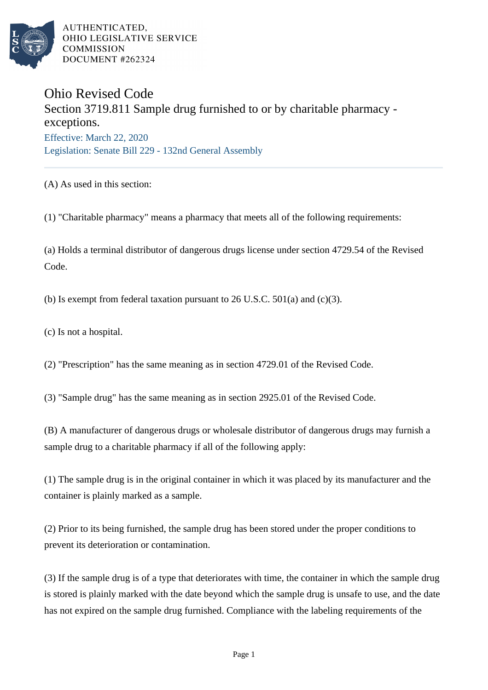

AUTHENTICATED. OHIO LEGISLATIVE SERVICE **COMMISSION** DOCUMENT #262324

## Ohio Revised Code

Section 3719.811 Sample drug furnished to or by charitable pharmacy exceptions. Effective: March 22, 2020 Legislation: Senate Bill 229 - 132nd General Assembly

(A) As used in this section:

(1) "Charitable pharmacy" means a pharmacy that meets all of the following requirements:

(a) Holds a terminal distributor of dangerous drugs license under section 4729.54 of the Revised Code.

(b) Is exempt from federal taxation pursuant to  $26$  U.S.C.  $501(a)$  and (c)(3).

(c) Is not a hospital.

(2) "Prescription" has the same meaning as in section 4729.01 of the Revised Code.

(3) "Sample drug" has the same meaning as in section 2925.01 of the Revised Code.

(B) A manufacturer of dangerous drugs or wholesale distributor of dangerous drugs may furnish a sample drug to a charitable pharmacy if all of the following apply:

(1) The sample drug is in the original container in which it was placed by its manufacturer and the container is plainly marked as a sample.

(2) Prior to its being furnished, the sample drug has been stored under the proper conditions to prevent its deterioration or contamination.

(3) If the sample drug is of a type that deteriorates with time, the container in which the sample drug is stored is plainly marked with the date beyond which the sample drug is unsafe to use, and the date has not expired on the sample drug furnished. Compliance with the labeling requirements of the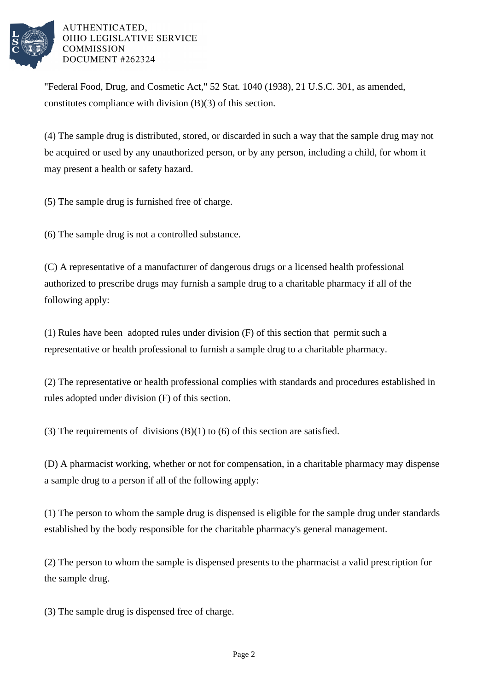

AUTHENTICATED, OHIO LEGISLATIVE SERVICE **COMMISSION** DOCUMENT #262324

"Federal Food, Drug, and Cosmetic Act," 52 Stat. 1040 (1938), 21 U.S.C. 301, as amended, constitutes compliance with division (B)(3) of this section.

(4) The sample drug is distributed, stored, or discarded in such a way that the sample drug may not be acquired or used by any unauthorized person, or by any person, including a child, for whom it may present a health or safety hazard.

(5) The sample drug is furnished free of charge.

(6) The sample drug is not a controlled substance.

(C) A representative of a manufacturer of dangerous drugs or a licensed health professional authorized to prescribe drugs may furnish a sample drug to a charitable pharmacy if all of the following apply:

(1) Rules have been adopted rules under division (F) of this section that permit such a representative or health professional to furnish a sample drug to a charitable pharmacy.

(2) The representative or health professional complies with standards and procedures established in rules adopted under division (F) of this section.

(3) The requirements of divisions  $(B)(1)$  to  $(6)$  of this section are satisfied.

(D) A pharmacist working, whether or not for compensation, in a charitable pharmacy may dispense a sample drug to a person if all of the following apply:

(1) The person to whom the sample drug is dispensed is eligible for the sample drug under standards established by the body responsible for the charitable pharmacy's general management.

(2) The person to whom the sample is dispensed presents to the pharmacist a valid prescription for the sample drug.

(3) The sample drug is dispensed free of charge.